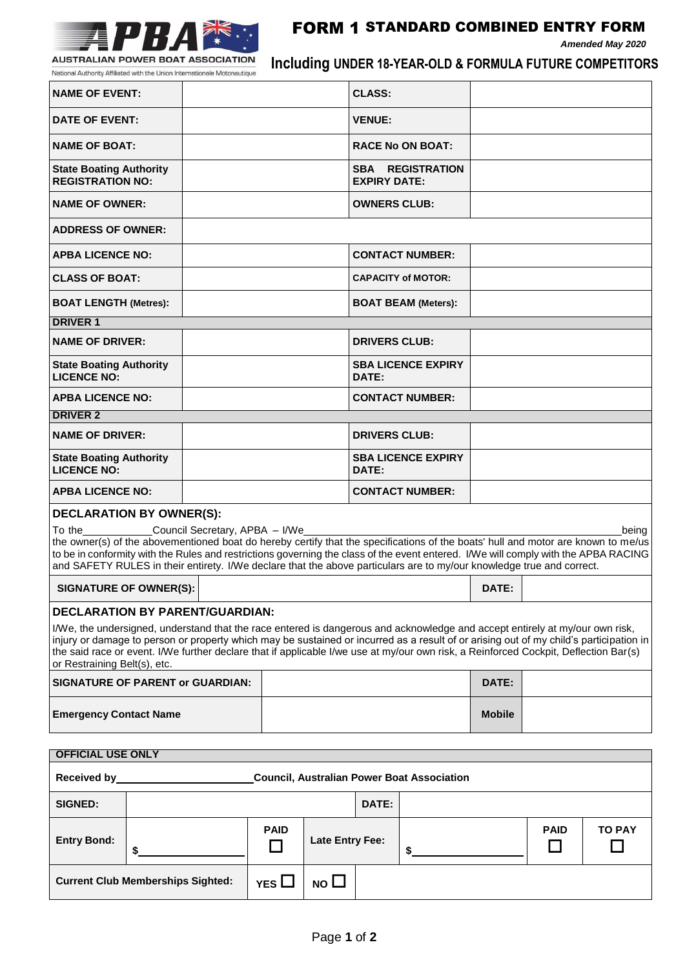

## FORM 1 STANDARD COMBINED ENTRY FORM

*Amended May 2020*

National Authority Affiliated with the Union Internationale Motonautique

**\$**

**Current Club Memberships Sighted:**  $\Big|\uparrow$  **YES**  $\Box$  **NO**  $\Box$ 

**Including UNDER 18-YEAR-OLD & FORMULA FUTURE COMPETITORS**

| <b>NAME OF EVENT:</b>                                                                                                                                                                                                                                                                                                                                                                                                                                                                     |    |  |                  |                        | <b>CLASS:</b>           |                            |               |             |               |  |
|-------------------------------------------------------------------------------------------------------------------------------------------------------------------------------------------------------------------------------------------------------------------------------------------------------------------------------------------------------------------------------------------------------------------------------------------------------------------------------------------|----|--|------------------|------------------------|-------------------------|----------------------------|---------------|-------------|---------------|--|
| DATE OF EVENT:                                                                                                                                                                                                                                                                                                                                                                                                                                                                            |    |  |                  |                        | <b>VENUE:</b>           |                            |               |             |               |  |
| <b>NAME OF BOAT:</b>                                                                                                                                                                                                                                                                                                                                                                                                                                                                      |    |  |                  |                        | <b>RACE No ON BOAT:</b> |                            |               |             |               |  |
| <b>State Boating Authority</b><br><b>REGISTRATION NO:</b>                                                                                                                                                                                                                                                                                                                                                                                                                                 |    |  |                  | <b>EXPIRY DATE:</b>    |                         | <b>SBA REGISTRATION</b>    |               |             |               |  |
| <b>NAME OF OWNER:</b>                                                                                                                                                                                                                                                                                                                                                                                                                                                                     |    |  |                  |                        |                         | <b>OWNERS CLUB:</b>        |               |             |               |  |
| <b>ADDRESS OF OWNER:</b>                                                                                                                                                                                                                                                                                                                                                                                                                                                                  |    |  |                  |                        |                         |                            |               |             |               |  |
| <b>APBA LICENCE NO:</b>                                                                                                                                                                                                                                                                                                                                                                                                                                                                   |    |  |                  |                        |                         | <b>CONTACT NUMBER:</b>     |               |             |               |  |
| <b>CLASS OF BOAT:</b>                                                                                                                                                                                                                                                                                                                                                                                                                                                                     |    |  |                  |                        |                         | <b>CAPACITY of MOTOR:</b>  |               |             |               |  |
| <b>BOAT LENGTH (Metres):</b>                                                                                                                                                                                                                                                                                                                                                                                                                                                              |    |  |                  |                        |                         | <b>BOAT BEAM (Meters):</b> |               |             |               |  |
| <b>DRIVER 1</b>                                                                                                                                                                                                                                                                                                                                                                                                                                                                           |    |  |                  |                        |                         |                            |               |             |               |  |
| <b>NAME OF DRIVER:</b>                                                                                                                                                                                                                                                                                                                                                                                                                                                                    |    |  |                  |                        | <b>DRIVERS CLUB:</b>    |                            |               |             |               |  |
| <b>State Boating Authority</b><br><b>LICENCE NO:</b>                                                                                                                                                                                                                                                                                                                                                                                                                                      |    |  | DATE:            |                        |                         | <b>SBA LICENCE EXPIRY</b>  |               |             |               |  |
| <b>APBA LICENCE NO:</b>                                                                                                                                                                                                                                                                                                                                                                                                                                                                   |    |  |                  |                        | <b>CONTACT NUMBER:</b>  |                            |               |             |               |  |
| <b>DRIVER 2</b>                                                                                                                                                                                                                                                                                                                                                                                                                                                                           |    |  |                  |                        |                         |                            |               |             |               |  |
| <b>NAME OF DRIVER:</b>                                                                                                                                                                                                                                                                                                                                                                                                                                                                    |    |  |                  |                        | <b>DRIVERS CLUB:</b>    |                            |               |             |               |  |
| <b>State Boating Authority</b><br><b>LICENCE NO:</b>                                                                                                                                                                                                                                                                                                                                                                                                                                      |    |  |                  |                        | DATE:                   | <b>SBA LICENCE EXPIRY</b>  |               |             |               |  |
| <b>APBA LICENCE NO:</b>                                                                                                                                                                                                                                                                                                                                                                                                                                                                   |    |  |                  |                        |                         | <b>CONTACT NUMBER:</b>     |               |             |               |  |
|                                                                                                                                                                                                                                                                                                                                                                                                                                                                                           |    |  |                  |                        |                         |                            |               |             |               |  |
| <b>DECLARATION BY OWNER(S):</b><br>Council Secretary, APBA - I/We<br>To the<br>being<br>the owner(s) of the abovementioned boat do hereby certify that the specifications of the boats' hull and motor are known to me/us<br>to be in conformity with the Rules and restrictions governing the class of the event entered. I/We will comply with the APBA RACING<br>and SAFETY RULES in their entirety. I/We declare that the above particulars are to my/our knowledge true and correct. |    |  |                  |                        |                         |                            |               |             |               |  |
| <b>SIGNATURE OF OWNER(S):</b>                                                                                                                                                                                                                                                                                                                                                                                                                                                             |    |  |                  |                        |                         |                            | DATE:         |             |               |  |
|                                                                                                                                                                                                                                                                                                                                                                                                                                                                                           |    |  |                  |                        |                         |                            |               |             |               |  |
| <b>DECLARATION BY PARENT/GUARDIAN:</b><br>I/We, the undersigned, understand that the race entered is dangerous and acknowledge and accept entirely at my/our own risk,<br>injury or damage to person or property which may be sustained or incurred as a result of or arising out of my child's participation in<br>the said race or event. I/We further declare that if applicable I/we use at my/our own risk, a Reinforced Cockpit, Deflection Bar(s)<br>or Restraining Belt(s), etc.  |    |  |                  |                        |                         |                            |               |             |               |  |
| <b>SIGNATURE OF PARENT or GUARDIAN:</b>                                                                                                                                                                                                                                                                                                                                                                                                                                                   |    |  |                  |                        | DATE:                   |                            |               |             |               |  |
| <b>Emergency Contact Name</b>                                                                                                                                                                                                                                                                                                                                                                                                                                                             |    |  |                  |                        |                         |                            | <b>Mobile</b> |             |               |  |
| <b>OFFICIAL USE ONLY</b>                                                                                                                                                                                                                                                                                                                                                                                                                                                                  |    |  |                  |                        |                         |                            |               |             |               |  |
| <b>Council, Australian Power Boat Association</b><br>Received by                                                                                                                                                                                                                                                                                                                                                                                                                          |    |  |                  |                        |                         |                            |               |             |               |  |
| <b>SIGNED:</b>                                                                                                                                                                                                                                                                                                                                                                                                                                                                            |    |  |                  |                        | DATE:                   |                            |               |             |               |  |
| <b>Entry Bond:</b>                                                                                                                                                                                                                                                                                                                                                                                                                                                                        | \$ |  | <b>PAID</b><br>H | <b>Late Entry Fee:</b> |                         | \$                         |               | <b>PAID</b> | <b>TO PAY</b> |  |

**\$**